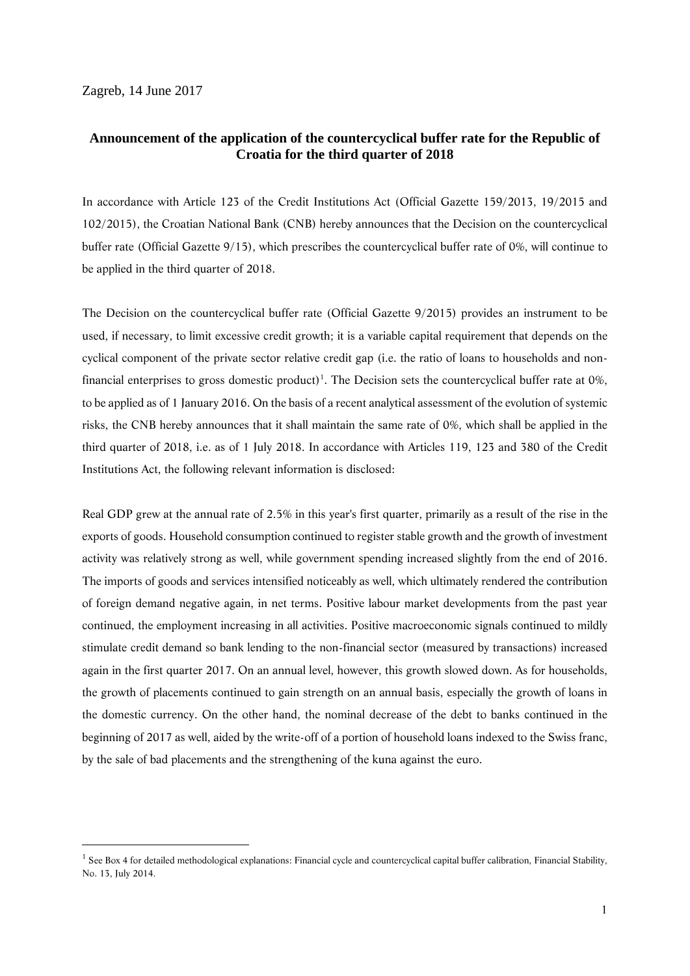Zagreb, 14 June 2017

<u>.</u>

## **Announcement of the application of the countercyclical buffer rate for the Republic of Croatia for the third quarter of 2018**

In accordance with Article 123 of the Credit Institutions Act (Official Gazette 159/2013, 19/2015 and 102/2015), the Croatian National Bank (CNB) hereby announces that the Decision on the countercyclical buffer rate (Official Gazette 9/15), which prescribes the countercyclical buffer rate of 0%, will continue to be applied in the third quarter of 2018.

The Decision on the countercyclical buffer rate (Official Gazette 9/2015) provides an instrument to be used, if necessary, to limit excessive credit growth; it is a variable capital requirement that depends on the cyclical component of the private sector relative credit gap (i.e. the ratio of loans to households and nonfinancial enterprises to gross domestic product)<sup>1</sup>. The Decision sets the countercyclical buffer rate at  $0\%$ , to be applied as of 1 January 2016. On the basis of a recent analytical assessment of the evolution of systemic risks, the CNB hereby announces that it shall maintain the same rate of 0%, which shall be applied in the third quarter of 2018, i.e. as of 1 July 2018. In accordance with Articles 119, 123 and 380 of the Credit Institutions Act, the following relevant information is disclosed:

Real GDP grew at the annual rate of 2.5% in this year's first quarter, primarily as a result of the rise in the exports of goods. Household consumption continued to register stable growth and the growth of investment activity was relatively strong as well, while government spending increased slightly from the end of 2016. The imports of goods and services intensified noticeably as well, which ultimately rendered the contribution of foreign demand negative again, in net terms. Positive labour market developments from the past year continued, the employment increasing in all activities. Positive macroeconomic signals continued to mildly stimulate credit demand so bank lending to the non-financial sector (measured by transactions) increased again in the first quarter 2017. On an annual level, however, this growth slowed down. As for households, the growth of placements continued to gain strength on an annual basis, especially the growth of loans in the domestic currency. On the other hand, the nominal decrease of the debt to banks continued in the beginning of 2017 as well, aided by the write-off of a portion of household loans indexed to the Swiss franc, by the sale of bad placements and the strengthening of the kuna against the euro.

<sup>&</sup>lt;sup>1</sup> See Box 4 for detailed methodological explanations: Financial cycle and countercyclical capital buffer calibration, Financial Stability, No. 13, July 2014.